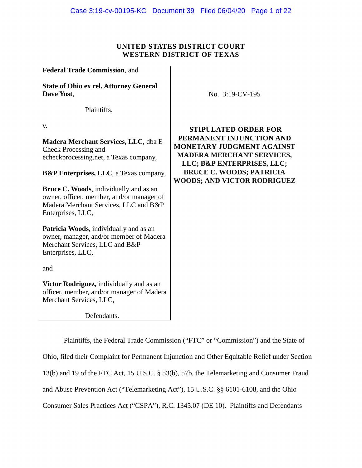## **UNITED STATES DISTRICT COURT WESTERN DISTRICT OF TEXAS**

**Federal Trade Commission**, and **State of Ohio ex rel. Attorney General Dave Yost**, Plaintiffs, v. **Madera Merchant Services, LLC**, dba E Check Processing and echeckprocessing.net, a Texas company, **B&P Enterprises, LLC**, a Texas company, **Bruce C. Woods**, individually and as an owner, officer, member, and/or manager of Madera Merchant Services, LLC and B&P Enterprises, LLC, **Patricia Woods**, individually and as an owner, manager, and/or member of Madera Merchant Services, LLC and B&P Enterprises, LLC, and **Victor Rodriguez,** individually and as an officer, member, and/or manager of Madera

Defendants.

Merchant Services, LLC,

No. 3:19-CV-195

**STIPULATED ORDER FOR PERMANENT INJUNCTION AND MONETARY JUDGMENT AGAINST MADERA MERCHANT SERVICES, LLC; B&P ENTERPRISES, LLC; BRUCE C. WOODS; PATRICIA WOODS; AND VICTOR RODRIGUEZ** 

Plaintiffs, the Federal Trade Commission ("FTC" or "Commission") and the State of Ohio, filed their Complaint for Permanent Injunction and Other Equitable Relief under Section 13(b) and 19 of the FTC Act, 15 U.S.C. § 53(b), 57b, the Telemarketing and Consumer Fraud and Abuse Prevention Act ("Telemarketing Act"), 15 U.S.C. §§ 6101-6108, and the Ohio Consumer Sales Practices Act ("CSPA"), R.C. 1345.07 (DE 10). Plaintiffs and Defendants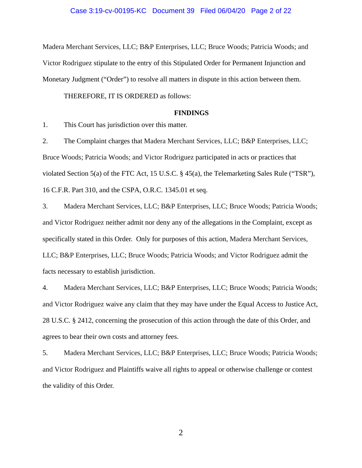#### Case 3:19-cv-00195-KC Document 39 Filed 06/04/20 Page 2 of 22

Madera Merchant Services, LLC; B&P Enterprises, LLC; Bruce Woods; Patricia Woods; and Victor Rodriguez stipulate to the entry of this Stipulated Order for Permanent Injunction and Monetary Judgment ("Order") to resolve all matters in dispute in this action between them.

THEREFORE, IT IS ORDERED as follows:

#### **FINDINGS**

This Court has jurisdiction over this matter.

1. This Court has jurisdiction over this matter.<br>2. The Complaint charges that Madera Merchant Services, LLC; B&P Enterprises, LLC; Bruce Woods; Patricia Woods; and Victor Rodriguez participated in acts or practices that violated Section 5(a) of the FTC Act, 15 U.S.C. § 45(a), the Telemarketing Sales Rule ("TSR"), 16 C.F.R. Part 310, and the CSPA, O.R.C. 1345.01 et seq.

3. Madera Merchant Services, LLC; B&P Enterprises, LLC; Bruce Woods; Patricia Woods; and Victor Rodriguez neither admit nor deny any of the allegations in the Complaint, except as specifically stated in this Order. Only for purposes of this action, Madera Merchant Services, LLC; B&P Enterprises, LLC; Bruce Woods; Patricia Woods; and Victor Rodriguez admit the facts necessary to establish jurisdiction.

4. Madera Merchant Services, LLC; B&P Enterprises, LLC; Bruce Woods; Patricia Woods; and Victor Rodriguez waive any claim that they may have under the Equal Access to Justice Act, 28 U.S.C. § 2412, concerning the prosecution of this action through the date of this Order, and agrees to bear their own costs and attorney fees.

5. Madera Merchant Services, LLC; B&P Enterprises, LLC; Bruce Woods; Patricia Woods; and Victor Rodriguez and Plaintiffs waive all rights to appeal or otherwise challenge or contest the validity of this Order.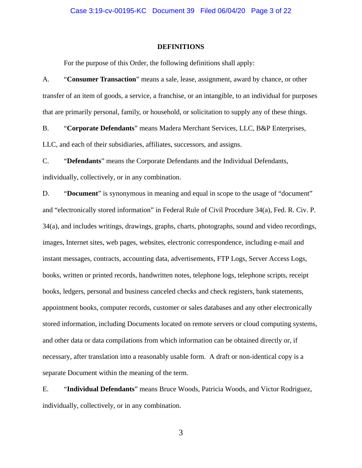#### **DEFINITIONS**

For the purpose of this Order, the following definitions shall apply:

A. "**Consumer Transaction**" means a sale, lease, assignment, award by chance, or other transfer of an item of goods, a service, a franchise, or an intangible, to an individual for purposes that are primarily personal, family, or household, or solicitation to supply any of these things.

B. "**Corporate Defendants**" means Madera Merchant Services, LLC, B&P Enterprises, LLC, and each of their subsidiaries, affiliates, successors, and assigns.

C. "**Defendants**" means the Corporate Defendants and the Individual Defendants, individually, collectively, or in any combination.

D. "**Document**" is synonymous in meaning and equal in scope to the usage of "document" and "electronically stored information" in Federal Rule of Civil Procedure 34(a), Fed. R. Civ. P. 34(a), and includes writings, drawings, graphs, charts, photographs, sound and video recordings, images, Internet sites, web pages, websites, electronic correspondence, including e-mail and instant messages, contracts, accounting data, advertisements, FTP Logs, Server Access Logs, books, written or printed records, handwritten notes, telephone logs, telephone scripts, receipt books, ledgers, personal and business canceled checks and check registers, bank statements, appointment books, computer records, customer or sales databases and any other electronically stored information, including Documents located on remote servers or cloud computing systems, and other data or data compilations from which information can be obtained directly or, if necessary, after translation into a reasonably usable form. A draft or non-identical copy is a separate Document within the meaning of the term.

E. "**Individual Defendants**" means Bruce Woods, Patricia Woods, and Victor Rodriguez, individually, collectively, or in any combination.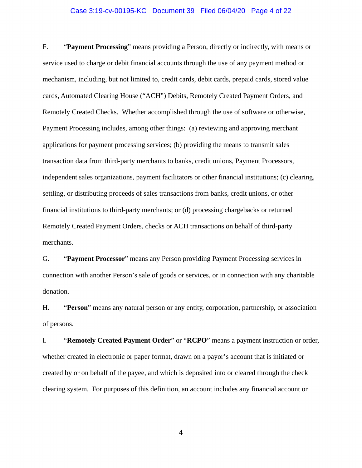#### Case 3:19-cv-00195-KC Document 39 Filed 06/04/20 Page 4 of 22

F. "**Payment Processing**" means providing a Person, directly or indirectly, with means or service used to charge or debit financial accounts through the use of any payment method or mechanism, including, but not limited to, credit cards, debit cards, prepaid cards, stored value cards, Automated Clearing House ("ACH") Debits, Remotely Created Payment Orders, and Remotely Created Checks. Whether accomplished through the use of software or otherwise, Payment Processing includes, among other things: (a) reviewing and approving merchant applications for payment processing services; (b) providing the means to transmit sales transaction data from third-party merchants to banks, credit unions, Payment Processors, independent sales organizations, payment facilitators or other financial institutions; (c) clearing, settling, or distributing proceeds of sales transactions from banks, credit unions, or other financial institutions to third-party merchants; or (d) processing chargebacks or returned Remotely Created Payment Orders, checks or ACH transactions on behalf of third-party merchants.

G. "**Payment Processor**" means any Person providing Payment Processing services in connection with another Person's sale of goods or services, or in connection with any charitable donation.

H. "**Person**" means any natural person or any entity, corporation, partnership, or association of persons.

 I. "**Remotely Created Payment Order**" or "**RCPO**" means a payment instruction or order, whether created in electronic or paper format, drawn on a payor's account that is initiated or created by or on behalf of the payee, and which is deposited into or cleared through the check clearing system. For purposes of this definition, an account includes any financial account or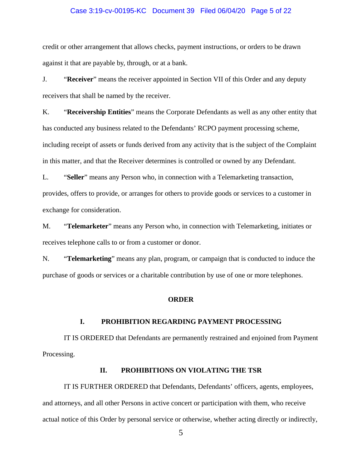#### Case 3:19-cv-00195-KC Document 39 Filed 06/04/20 Page 5 of 22

credit or other arrangement that allows checks, payment instructions, or orders to be drawn against it that are payable by, through, or at a bank.

J. "**Receiver**" means the receiver appointed in Section VII of this Order and any deputy receivers that shall be named by the receiver.

K. "**Receivership Entities**" means the Corporate Defendants as well as any other entity that has conducted any business related to the Defendants' RCPO payment processing scheme, including receipt of assets or funds derived from any activity that is the subject of the Complaint in this matter, and that the Receiver determines is controlled or owned by any Defendant.

L. "**Seller**" means any Person who, in connection with a Telemarketing transaction, provides, offers to provide, or arranges for others to provide goods or services to a customer in exchange for consideration.

M. "**Telemarketer**" means any Person who, in connection with Telemarketing, initiates or receives telephone calls to or from a customer or donor.

N. "**Telemarketing**" means any plan, program, or campaign that is conducted to induce the purchase of goods or services or a charitable contribution by use of one or more telephones.

#### **ORDER**

## **I. PROHIBITION REGARDING PAYMENT PROCESSING**

IT IS ORDERED that Defendants are permanently restrained and enjoined from Payment Processing.

## **II. PROHIBITIONS ON VIOLATING THE TSR**

IT IS FURTHER ORDERED that Defendants, Defendants' officers, agents, employees, and attorneys, and all other Persons in active concert or participation with them, who receive actual notice of this Order by personal service or otherwise, whether acting directly or indirectly,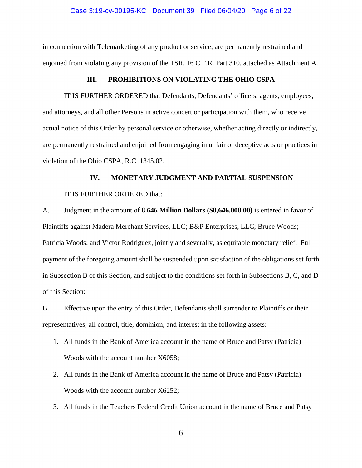#### Case 3:19-cv-00195-KC Document 39 Filed 06/04/20 Page 6 of 22

in connection with Telemarketing of any product or service, are permanently restrained and enjoined from violating any provision of the TSR, 16 C.F.R. Part 310, attached as Attachment A.

#### **III. PROHIBITIONS ON VIOLATING THE OHIO CSPA**

IT IS FURTHER ORDERED that Defendants, Defendants' officers, agents, employees, and attorneys, and all other Persons in active concert or participation with them, who receive actual notice of this Order by personal service or otherwise, whether acting directly or indirectly, are permanently restrained and enjoined from engaging in unfair or deceptive acts or practices in violation of the Ohio CSPA, R.C. 1345.02.

## **IV. MONETARY JUDGMENT AND PARTIAL SUSPENSION**

#### IT IS FURTHER ORDERED that:

A. Judgment in the amount of **8.646 Million Dollars (\$8,646,000.00)** is entered in favor of Plaintiffs against Madera Merchant Services, LLC; B&P Enterprises, LLC; Bruce Woods; Patricia Woods; and Victor Rodriguez, jointly and severally, as equitable monetary relief. Full payment of the foregoing amount shall be suspended upon satisfaction of the obligations set forth in Subsection B of this Section, and subject to the conditions set forth in Subsections B, C, and D of this Section:

B. Effective upon the entry of this Order, Defendants shall surrender to Plaintiffs or their representatives, all control, title, dominion, and interest in the following assets:

- 1. All funds in the Bank of America account in the name of Bruce and Patsy (Patricia) Woods with the account number X6058;
- 2. All funds in the Bank of America account in the name of Bruce and Patsy (Patricia) Woods with the account number X6252;
- 3. All funds in the Teachers Federal Credit Union account in the name of Bruce and Patsy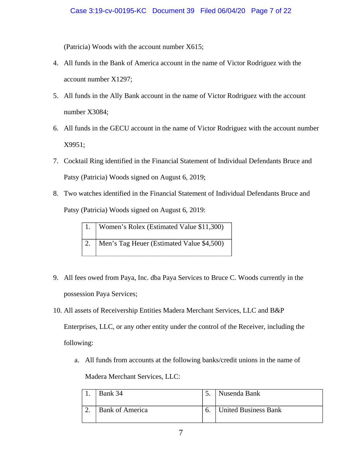(Patricia) Woods with the account number X615;

- 4. All funds in the Bank of America account in the name of Victor Rodriguez with the account number X1297;
- 5. All funds in the Ally Bank account in the name of Victor Rodriguez with the account number X3084;
- 6. All funds in the GECU account in the name of Victor Rodriguez with the account number X9951;
- 7. Cocktail Ring identified in the Financial Statement of Individual Defendants Bruce and Patsy (Patricia) Woods signed on August 6, 2019;
- 8. Two watches identified in the Financial Statement of Individual Defendants Bruce and Patsy (Patricia) Woods signed on August 6, 2019:

| 1.   Women's Rolex (Estimated Value \$11,300)  |
|------------------------------------------------|
| 2.   Men's Tag Heuer (Estimated Value \$4,500) |

- 9. All fees owed from Paya, Inc. dba Paya Services to Bruce C. Woods currently in the possession Paya Services;
- 10. All assets of Receivership Entities Madera Merchant Services, LLC and B&P Enterprises, LLC, or any other entity under the control of the Receiver, including the following:
	- a. All funds from accounts at the following banks/credit unions in the name of Madera Merchant Services, LLC:

| Bank 34                |    | Nusenda Bank                |
|------------------------|----|-----------------------------|
| <b>Bank of America</b> | b. | <b>United Business Bank</b> |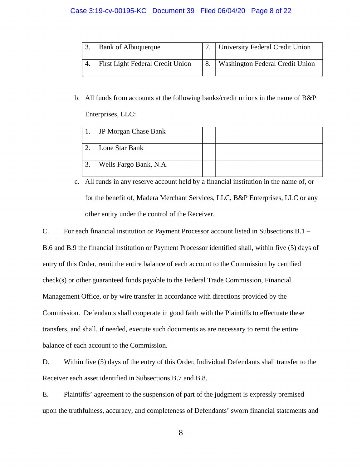## Case 3:19-cv-00195-KC Document 39 Filed 06/04/20 Page 8 of 22

| <b>Bank of Albuquerque</b>       | 7.   University Federal Credit Union |
|----------------------------------|--------------------------------------|
| First Light Federal Credit Union | 8.   Washington Federal Credit Union |

b. All funds from accounts at the following banks/credit unions in the name of B&P Enterprises, LLC:

|    | JP Morgan Chase Bank   |  |
|----|------------------------|--|
|    | Lone Star Bank         |  |
| ິ. | Wells Fargo Bank, N.A. |  |

c. All funds in any reserve account held by a financial institution in the name of, or for the benefit of, Madera Merchant Services, LLC, B&P Enterprises, LLC or any other entity under the control of the Receiver.

C. For each financial institution or Payment Processor account listed in Subsections B.1 –

B.6 and B.9 the financial institution or Payment Processor identified shall, within five (5) days of entry of this Order, remit the entire balance of each account to the Commission by certified check(s) or other guaranteed funds payable to the Federal Trade Commission, Financial Management Office, or by wire transfer in accordance with directions provided by the Commission. Defendants shall cooperate in good faith with the Plaintiffs to effectuate these transfers, and shall, if needed, execute such documents as are necessary to remit the entire balance of each account to the Commission.

D. Within five (5) days of the entry of this Order, Individual Defendants shall transfer to the Receiver each asset identified in Subsections B.7 and B.8.

E. Plaintiffs' agreement to the suspension of part of the judgment is expressly premised upon the truthfulness, accuracy, and completeness of Defendants' sworn financial statements and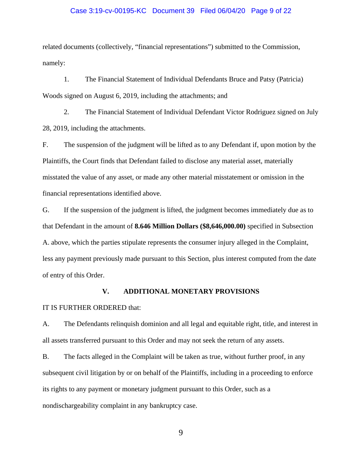#### Case 3:19-cv-00195-KC Document 39 Filed 06/04/20 Page 9 of 22

related documents (collectively, "financial representations") submitted to the Commission, namely:

1. The Financial Statement of Individual Defendants Bruce and Patsy (Patricia) Woods signed on August 6, 2019, including the attachments; and

2. The Financial Statement of Individual Defendant Victor Rodriguez signed on July 28, 2019, including the attachments.

F. The suspension of the judgment will be lifted as to any Defendant if, upon motion by the Plaintiffs, the Court finds that Defendant failed to disclose any material asset, materially misstated the value of any asset, or made any other material misstatement or omission in the financial representations identified above.

G. If the suspension of the judgment is lifted, the judgment becomes immediately due as to that Defendant in the amount of **8.646 Million Dollars (\$8,646,000.00)** specified in Subsection A. above, which the parties stipulate represents the consumer injury alleged in the Complaint, less any payment previously made pursuant to this Section, plus interest computed from the date of entry of this Order.

#### **V. ADDITIONAL MONETARY PROVISIONS**

#### IT IS FURTHER ORDERED that:

A. The Defendants relinquish dominion and all legal and equitable right, title, and interest in all assets transferred pursuant to this Order and may not seek the return of any assets.

B. The facts alleged in the Complaint will be taken as true, without further proof, in any subsequent civil litigation by or on behalf of the Plaintiffs, including in a proceeding to enforce its rights to any payment or monetary judgment pursuant to this Order, such as a nondischargeability complaint in any bankruptcy case.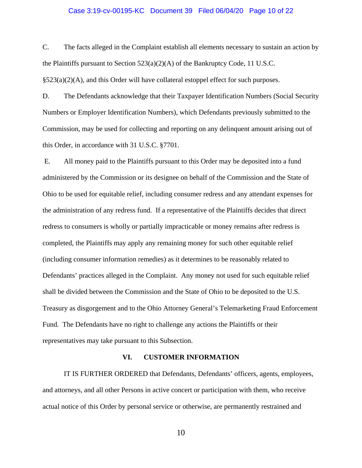#### Case 3:19-cv-00195-KC Document 39 Filed 06/04/20 Page 10 of 22

C. The facts alleged in the Complaint establish all elements necessary to sustain an action by the Plaintiffs pursuant to Section  $523(a)(2)(A)$  of the Bankruptcy Code, 11 U.S.C.  $\S523(a)(2)(A)$ , and this Order will have collateral estoppel effect for such purposes.

D. The Defendants acknowledge that their Taxpayer Identification Numbers (Social Security Numbers or Employer Identification Numbers), which Defendants previously submitted to the Commission, may be used for collecting and reporting on any delinquent amount arising out of this Order, in accordance with 31 U.S.C. §7701.

 E. All money paid to the Plaintiffs pursuant to this Order may be deposited into a fund administered by the Commission or its designee on behalf of the Commission and the State of Ohio to be used for equitable relief, including consumer redress and any attendant expenses for the administration of any redress fund. If a representative of the Plaintiffs decides that direct redress to consumers is wholly or partially impracticable or money remains after redress is completed, the Plaintiffs may apply any remaining money for such other equitable relief (including consumer information remedies) as it determines to be reasonably related to Defendants' practices alleged in the Complaint. Any money not used for such equitable relief shall be divided between the Commission and the State of Ohio to be deposited to the U.S. Treasury as disgorgement and to the Ohio Attorney General's Telemarketing Fraud Enforcement Fund. The Defendants have no right to challenge any actions the Plaintiffs or their representatives may take pursuant to this Subsection.

#### **VI. CUSTOMER INFORMATION**

IT IS FURTHER ORDERED that Defendants, Defendants' officers, agents, employees, and attorneys, and all other Persons in active concert or participation with them, who receive actual notice of this Order by personal service or otherwise, are permanently restrained and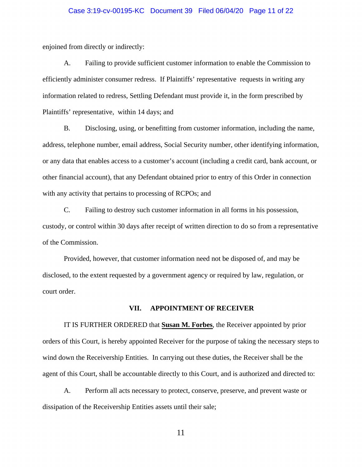#### Case 3:19-cv-00195-KC Document 39 Filed 06/04/20 Page 11 of 22

enjoined from directly or indirectly:

A. Failing to provide sufficient customer information to enable the Commission to efficiently administer consumer redress. If Plaintiffs' representative requests in writing any information related to redress, Settling Defendant must provide it, in the form prescribed by Plaintiffs' representative, within 14 days; and

B. Disclosing, using, or benefitting from customer information, including the name, address, telephone number, email address, Social Security number, other identifying information, or any data that enables access to a customer's account (including a credit card, bank account, or other financial account), that any Defendant obtained prior to entry of this Order in connection with any activity that pertains to processing of RCPOs; and

C. Failing to destroy such customer information in all forms in his possession, custody, or control within 30 days after receipt of written direction to do so from a representative of the Commission.

Provided, however, that customer information need not be disposed of, and may be disclosed, to the extent requested by a government agency or required by law, regulation, or court order.

#### **VII. APPOINTMENT OF RECEIVER**

IT IS FURTHER ORDERED that **Susan M. Forbes**, the Receiver appointed by prior orders of this Court, is hereby appointed Receiver for the purpose of taking the necessary steps to wind down the Receivership Entities. In carrying out these duties, the Receiver shall be the agent of this Court, shall be accountable directly to this Court, and is authorized and directed to:

A. Perform all acts necessary to protect, conserve, preserve, and prevent waste or dissipation of the Receivership Entities assets until their sale;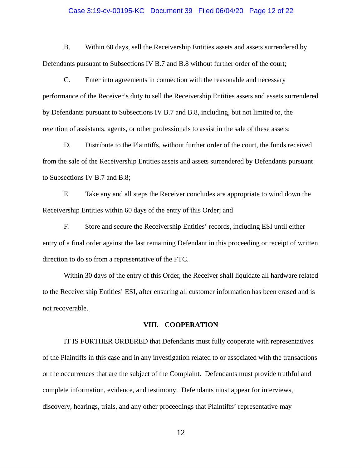#### Case 3:19-cv-00195-KC Document 39 Filed 06/04/20 Page 12 of 22

B. Within 60 days, sell the Receivership Entities assets and assets surrendered by Defendants pursuant to Subsections IV B.7 and B.8 without further order of the court;

C. Enter into agreements in connection with the reasonable and necessary performance of the Receiver's duty to sell the Receivership Entities assets and assets surrendered by Defendants pursuant to Subsections IV B.7 and B.8, including, but not limited to, the retention of assistants, agents, or other professionals to assist in the sale of these assets;

D. Distribute to the Plaintiffs, without further order of the court, the funds received from the sale of the Receivership Entities assets and assets surrendered by Defendants pursuant to Subsections IV B.7 and B.8;

E. Take any and all steps the Receiver concludes are appropriate to wind down the Receivership Entities within 60 days of the entry of this Order; and

F. Store and secure the Receivership Entities' records, including ESI until either entry of a final order against the last remaining Defendant in this proceeding or receipt of written direction to do so from a representative of the FTC.

Within 30 days of the entry of this Order, the Receiver shall liquidate all hardware related to the Receivership Entities' ESI, after ensuring all customer information has been erased and is not recoverable.

#### **VIII. COOPERATION**

IT IS FURTHER ORDERED that Defendants must fully cooperate with representatives of the Plaintiffs in this case and in any investigation related to or associated with the transactions or the occurrences that are the subject of the Complaint. Defendants must provide truthful and complete information, evidence, and testimony. Defendants must appear for interviews, discovery, hearings, trials, and any other proceedings that Plaintiffs' representative may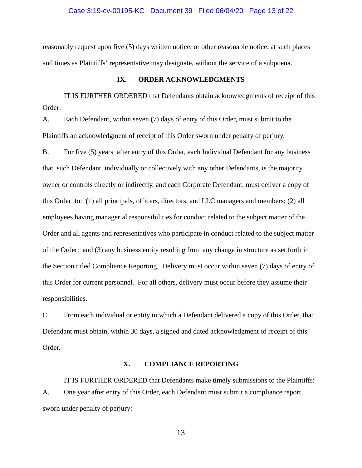#### Case 3:19-cv-00195-KC Document 39 Filed 06/04/20 Page 13 of 22

reasonably request upon five (5) days written notice, or other reasonable notice, at such places and times as Plaintiffs' representative may designate, without the service of a subpoena.

#### **IX. ORDER ACKNOWLEDGMENTS**

IT IS FURTHER ORDERED that Defendants obtain acknowledgments of receipt of this Order:

Plaintiffs an acknowledgment of receipt of this Order sworn under penalty of perjury. A. Each Defendant, within seven (7) days of entry of this Order, must submit to the

B. For five (5) years after entry of this Order, each Individual Defendant for any business that such Defendant, individually or collectively with any other Defendants, is the majority owner or controls directly or indirectly, and each Corporate Defendant, must deliver a copy of this Order to: (1) all principals, officers, directors, and LLC managers and members; (2) all employees having managerial responsibilities for conduct related to the subject matter of the Order and all agents and representatives who participate in conduct related to the subject matter of the Order; and (3) any business entity resulting from any change in structure as set forth in the Section titled Compliance Reporting. Delivery must occur within seven (7) days of entry of this Order for current personnel. For all others, delivery must occur before they assume their responsibilities.

C. From each individual or entity to which a Defendant delivered a copy of this Order, that Defendant must obtain, within 30 days, a signed and dated acknowledgment of receipt of this Order.

### **X. COMPLIANCE REPORTING**

IT IS FURTHER ORDERED that Defendants make timely submissions to the Plaintiffs: A. One year after entry of this Order, each Defendant must submit a compliance report, sworn under penalty of perjury: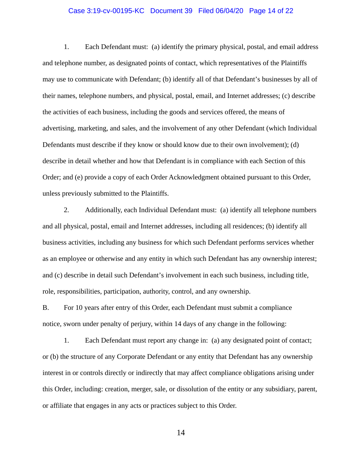#### Case 3:19-cv-00195-KC Document 39 Filed 06/04/20 Page 14 of 22

1. Each Defendant must: (a) identify the primary physical, postal, and email address and telephone number, as designated points of contact, which representatives of the Plaintiffs may use to communicate with Defendant; (b) identify all of that Defendant's businesses by all of their names, telephone numbers, and physical, postal, email, and Internet addresses; (c) describe the activities of each business, including the goods and services offered, the means of advertising, marketing, and sales, and the involvement of any other Defendant (which Individual Defendants must describe if they know or should know due to their own involvement); (d) describe in detail whether and how that Defendant is in compliance with each Section of this Order; and (e) provide a copy of each Order Acknowledgment obtained pursuant to this Order, unless previously submitted to the Plaintiffs.

2. Additionally, each Individual Defendant must: (a) identify all telephone numbers and all physical, postal, email and Internet addresses, including all residences; (b) identify all business activities, including any business for which such Defendant performs services whether as an employee or otherwise and any entity in which such Defendant has any ownership interest; and (c) describe in detail such Defendant's involvement in each such business, including title, role, responsibilities, participation, authority, control, and any ownership.

B. For 10 years after entry of this Order, each Defendant must submit a compliance notice, sworn under penalty of perjury, within 14 days of any change in the following:

1. Each Defendant must report any change in: (a) any designated point of contact; or (b) the structure of any Corporate Defendant or any entity that Defendant has any ownership interest in or controls directly or indirectly that may affect compliance obligations arising under this Order, including: creation, merger, sale, or dissolution of the entity or any subsidiary, parent, or affiliate that engages in any acts or practices subject to this Order.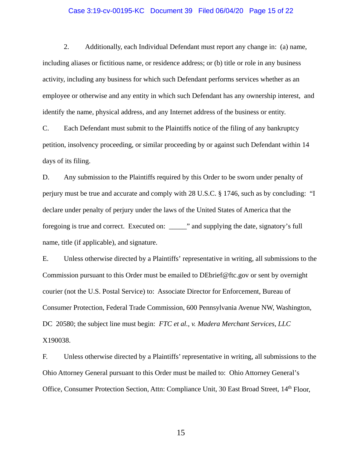#### Case 3:19-cv-00195-KC Document 39 Filed 06/04/20 Page 15 of 22

2. Additionally, each Individual Defendant must report any change in: (a) name, including aliases or fictitious name, or residence address; or (b) title or role in any business activity, including any business for which such Defendant performs services whether as an employee or otherwise and any entity in which such Defendant has any ownership interest, and identify the name, physical address, and any Internet address of the business or entity.

C. Each Defendant must submit to the Plaintiffs notice of the filing of any bankruptcy petition, insolvency proceeding, or similar proceeding by or against such Defendant within 14 days of its filing.

D. Any submission to the Plaintiffs required by this Order to be sworn under penalty of perjury must be true and accurate and comply with 28 U.S.C. § 1746, such as by concluding: "I declare under penalty of perjury under the laws of the United States of America that the foregoing is true and correct. Executed on: \_\_\_\_\_" and supplying the date, signatory's full name, title (if applicable), and signature.

E. Unless otherwise directed by a Plaintiffs' representative in writing, all submissions to the Commission pursuant to this Order must be emailed to DEbrief@ftc.gov or sent by overnight courier (not the U.S. Postal Service) to: Associate Director for Enforcement, Bureau of Consumer Protection, Federal Trade Commission, 600 Pennsylvania Avenue NW, Washington, DC 20580; the subject line must begin: *FTC et al., v. Madera Merchant Services, LLC*  X190038.

F. Unless otherwise directed by a Plaintiffs' representative in writing, all submissions to the Ohio Attorney General pursuant to this Order must be mailed to: Ohio Attorney General's Office, Consumer Protection Section, Attn: Compliance Unit, 30 East Broad Street, 14<sup>th</sup> Floor,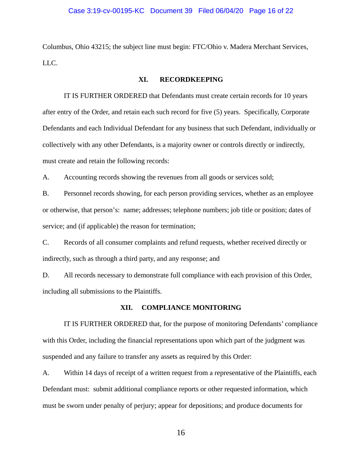#### Case 3:19-cv-00195-KC Document 39 Filed 06/04/20 Page 16 of 22

Columbus, Ohio 43215; the subject line must begin: FTC/Ohio v. Madera Merchant Services, LLC.

#### **XI. RECORDKEEPING**

IT IS FURTHER ORDERED that Defendants must create certain records for 10 years after entry of the Order, and retain each such record for five (5) years. Specifically, Corporate Defendants and each Individual Defendant for any business that such Defendant, individually or collectively with any other Defendants, is a majority owner or controls directly or indirectly, must create and retain the following records:

A. Accounting records showing the revenues from all goods or services sold;

B. Personnel records showing, for each person providing services, whether as an employee or otherwise, that person's: name; addresses; telephone numbers; job title or position; dates of service; and (if applicable) the reason for termination;

C. Records of all consumer complaints and refund requests, whether received directly or indirectly, such as through a third party, and any response; and

D. All records necessary to demonstrate full compliance with each provision of this Order, including all submissions to the Plaintiffs.

#### **XII. COMPLIANCE MONITORING**

IT IS FURTHER ORDERED that, for the purpose of monitoring Defendants' compliance with this Order, including the financial representations upon which part of the judgment was suspended and any failure to transfer any assets as required by this Order:

A. Within 14 days of receipt of a written request from a representative of the Plaintiffs, each Defendant must: submit additional compliance reports or other requested information, which must be sworn under penalty of perjury; appear for depositions; and produce documents for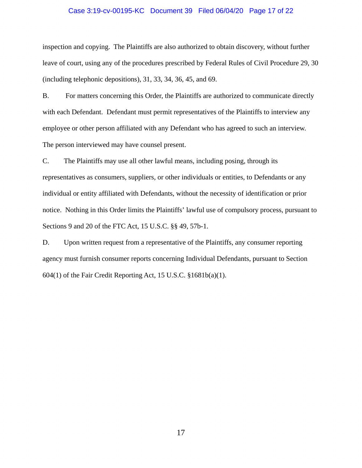## Case 3:19-cv-00195-KC Document 39 Filed 06/04/20 Page 17 of 22

inspection and copying. The Plaintiffs are also authorized to obtain discovery, without further leave of court, using any of the procedures prescribed by Federal Rules of Civil Procedure 29, 30 (including telephonic depositions), 31, 33, 34, 36, 45, and 69.

 employee or other person affiliated with any Defendant who has agreed to such an interview. The person interviewed may have counsel present. B. For matters concerning this Order, the Plaintiffs are authorized to communicate directly with each Defendant. Defendant must permit representatives of the Plaintiffs to interview any

C. The Plaintiffs may use all other lawful means, including posing, through its representatives as consumers, suppliers, or other individuals or entities, to Defendants or any individual or entity affiliated with Defendants, without the necessity of identification or prior notice. Nothing in this Order limits the Plaintiffs' lawful use of compulsory process, pursuant to Sections 9 and 20 of the FTC Act, 15 U.S.C. §§ 49, 57b-1.

D. Upon written request from a representative of the Plaintiffs, any consumer reporting agency must furnish consumer reports concerning Individual Defendants, pursuant to Section 604(1) of the Fair Credit Reporting Act, 15 U.S.C. §1681b(a)(1).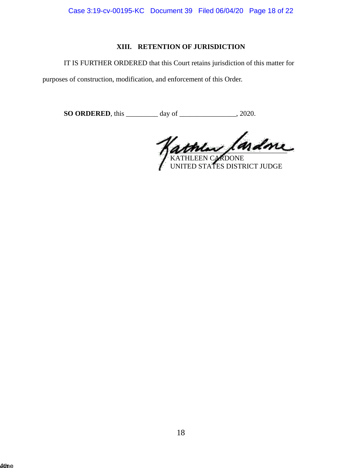Case 3:19-cv-00195-KC Document 39 Filed 06/04/20 Page 18 of 22

# **XIII. RETENTION OF JURISDICTION**

IT IS FURTHER ORDERED that this Court retains jurisdiction of this matter for

purposes of construction, modification, and enforcement of this Order.

**SO ORDERED**, this \_\_\_\_\_\_\_\_\_ day of \_\_\_\_\_\_\_\_\_\_\_\_\_\_, 2020.

 $\sqrt{a\pi m\omega}$ , man

KATHLEEN CARDONE UNITED STATES DISTRICT JUDGE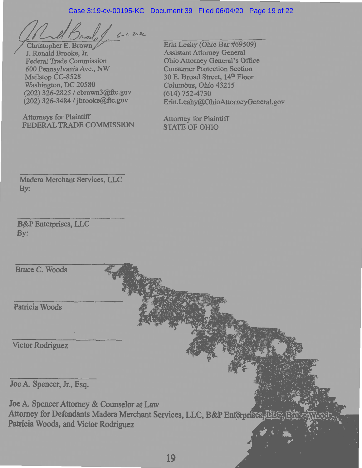## Case 3:19-cv-00195-KC Document 39 Filed 06/04/20 Page 19 of 22

 $2c2c$ 

Christopher E. Brown J. Ronald Brooke, Jr. Federal Trade Commission 600 Pennsylvania Ave., NW Mailstop CC-8528 Washington, DC 20580 (202) 326-2825 *I* cbrown3@ftc.gov (202) 326-3484 / jbrooke@ftc.gov

Attorneys for Plaintiff FEDERAL **TRADE COMMISSION** 

Erin Leahy (Ohio Bar #69509) Assistant Attorney General Ohio Attorney General's Office Consumer Protection Section 30 E. Broad Street, 14<sup>th</sup> Floor Columbus, Ohio 43215 (614) 752-4730 Erin.Leahy@OhioAttomeyGeneral.gov

Attorney for P1aintiff STATE OF OHIO

Madera Merchant Services, LLC By:

**B&P Enterprises, LLC** By:

Bruce C. Woods

Patricia Woods

Victor Rodriguez

Joe A. Spencer, Jr., Esq.

Joe A. Spencer Attorney & Counselor at Law Attorney for Defendants Madera Merchant Services, LLC, B&P Enterprises, LLC. Patricia Woods, and Victor Rodriguez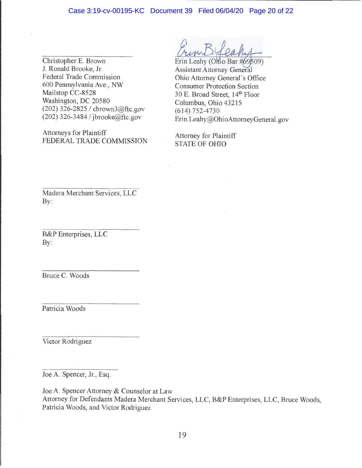Christopher E. Brown<br>
J. Ronald Brooke, Jr. Assistant Attorney General J. Ronald Brooke, Jr.<br>
Federal Trade Commission<br>
Ohio Attorney General's O Federal Trade Commission<br>
600 Pennsylvania Ave., NW Consumer Protection Section 600 Pennsylvania Ave., NW Consumer Protection Section<br>Mailstop CC-8528 30 E Broad Street 14<sup>th</sup> Floor Mailstop CC-8528 30 E. Broad Street, 14<sup>th</sup> Floor<br>Washington, DC 20580 Columbus Ohio 43215 (202) 326-2825 *l* cbrown3@ftc.gov (614) 752-4730<br>(202) 326-3484 *l* jbrooke@ftc.gov Frin Leaby@Ob

Attorneys for Plaintiff Attorney for Plaintiff<br>FEDERAL TRADE COMMISSION STATE OF OHIO FEDERAL TRADE COMMISSION

Columbus, Ohio 43215 Erin.Leahy@OhioAttorneyGeneral.gov

Madera Merchant Services, LLC By:

B&P Enterprises, LLC By:

Bruce C. Woods

Patricia Woods

Victor Rodriguez

Joe A. Spencer, Jr., Esq.

Joe A. Spencer Attorney & Counselor at Law Attorney for Defendants Madera Merchant Services, LLC, B&P Enterprises, LLC, Bruce Woods, Patricia Woods, and Victor Rodriguez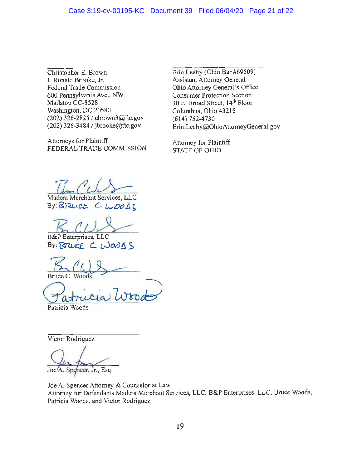J. Ronald Brooke, Jr. Assistant Attorney General Federal Trade Commission Ohio Attorney General's Office 600 Pennsylvania Ave., NW Consumer Protection Section Mailstop CC-8528 30 E, Broad Street, 14<sup>th</sup> Floor Washington, DC 20580 Columbus, Ohio 43215 (202) 326-2825 / cbrown3@ftc.gov (614) 752-4730<br>(202) 326-3484 / jbrooke@ftc.gov Erin Leahy@Ob

Attorneys for Plaintiff Attorney for Plaintiff FEDERAL TRADE COMMISSION STATE OF OHIO

Christopher E. Brown Erin Leahy (Ohio Bar #69509) Erin. Leahy@OhioAttorneyGeneral.gov

Madera Merchant Services, LLC

**By: BRUCE C. WOODS** 

B&P Enterprises, LLC

 $By: R<sub>2</sub>CCF C. LJoodhC$ 

 $\underline{\mathcal{F}}$  (We  $\frac{\omega}{2}$ 

Bruce C. Woods<br>
Patricia Woods

Patricia Woods

Victor Rodriguez

Spencer, Jr., Esq.

Joe A. Spencer Attorney & Counselor at Law Attorney for Defendants Madera Merchant Services, LLC, B&P Enterprises, LLC, Bruce Woods, Patricia Woods, and Victor Rodriguez